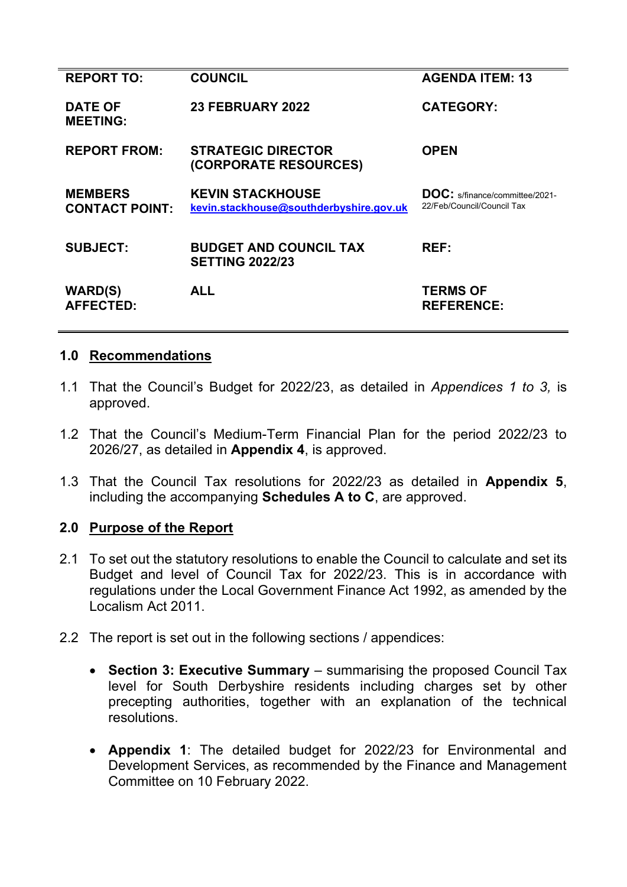| <b>REPORT TO:</b>                       | <b>COUNCIL</b>                                                     | <b>AGENDA ITEM: 13</b>                                              |
|-----------------------------------------|--------------------------------------------------------------------|---------------------------------------------------------------------|
| <b>DATE OF</b><br><b>MEETING:</b>       | <b>23 FEBRUARY 2022</b>                                            | <b>CATEGORY:</b>                                                    |
| <b>REPORT FROM:</b>                     | <b>STRATEGIC DIRECTOR</b><br>(CORPORATE RESOURCES)                 | <b>OPEN</b>                                                         |
| <b>MEMBERS</b><br><b>CONTACT POINT:</b> | <b>KEVIN STACKHOUSE</b><br>kevin.stackhouse@southderbyshire.gov.uk | <b>DOC:</b> s/finance/committee/2021-<br>22/Feb/Council/Council Tax |
| <b>SUBJECT:</b>                         | <b>BUDGET AND COUNCIL TAX</b><br><b>SETTING 2022/23</b>            | REF:                                                                |
| <b>WARD(S)</b><br><b>AFFECTED:</b>      | <b>ALL</b>                                                         | <b>TERMS OF</b><br><b>REFERENCE:</b>                                |

#### **1.0 Recommendations**

- 1.1 That the Council's Budget for 2022/23, as detailed in *Appendices 1 to 3,* is approved.
- 1.2 That the Council's Medium-Term Financial Plan for the period 2022/23 to 2026/27, as detailed in **Appendix 4**, is approved.
- 1.3 That the Council Tax resolutions for 2022/23 as detailed in **Appendix 5**, including the accompanying **Schedules A to C**, are approved.

#### **2.0 Purpose of the Report**

- 2.1 To set out the statutory resolutions to enable the Council to calculate and set its Budget and level of Council Tax for 2022/23. This is in accordance with regulations under the Local Government Finance Act 1992, as amended by the Localism Act 2011.
- 2.2 The report is set out in the following sections / appendices:
	- **Section 3: Executive Summary** summarising the proposed Council Tax level for South Derbyshire residents including charges set by other precepting authorities, together with an explanation of the technical resolutions.
	- **Appendix 1**: The detailed budget for 2022/23 for Environmental and Development Services, as recommended by the Finance and Management Committee on 10 February 2022.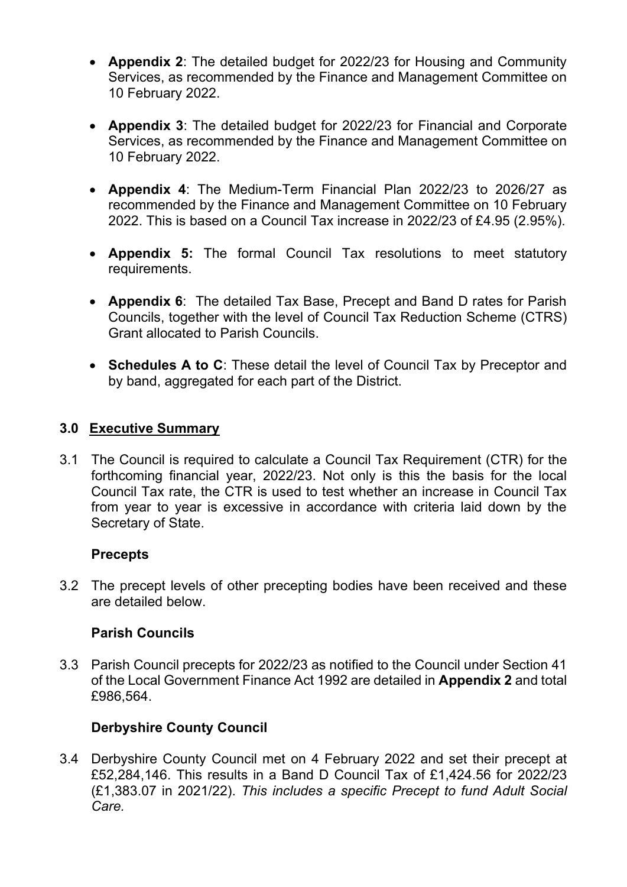- **Appendix 2**: The detailed budget for 2022/23 for Housing and Community Services, as recommended by the Finance and Management Committee on 10 February 2022.
- **Appendix 3**: The detailed budget for 2022/23 for Financial and Corporate Services, as recommended by the Finance and Management Committee on 10 February 2022.
- **Appendix 4**: The Medium-Term Financial Plan 2022/23 to 2026/27 as recommended by the Finance and Management Committee on 10 February 2022. This is based on a Council Tax increase in 2022/23 of £4.95 (2.95%).
- **Appendix 5:** The formal Council Tax resolutions to meet statutory requirements.
- **Appendix 6**: The detailed Tax Base, Precept and Band D rates for Parish Councils, together with the level of Council Tax Reduction Scheme (CTRS) Grant allocated to Parish Councils.
- **Schedules A to C**: These detail the level of Council Tax by Preceptor and by band, aggregated for each part of the District.

### **3.0 Executive Summary**

3.1 The Council is required to calculate a Council Tax Requirement (CTR) for the forthcoming financial year, 2022/23. Not only is this the basis for the local Council Tax rate, the CTR is used to test whether an increase in Council Tax from year to year is excessive in accordance with criteria laid down by the Secretary of State.

#### **Precepts**

3.2 The precept levels of other precepting bodies have been received and these are detailed below.

#### **Parish Councils**

3.3 Parish Council precepts for 2022/23 as notified to the Council under Section 41 of the Local Government Finance Act 1992 are detailed in **Appendix 2** and total £986,564.

#### **Derbyshire County Council**

3.4 Derbyshire County Council met on 4 February 2022 and set their precept at £52,284,146. This results in a Band D Council Tax of £1,424.56 for 2022/23 (£1,383.07 in 2021/22). *This includes a specific Precept to fund Adult Social Care.*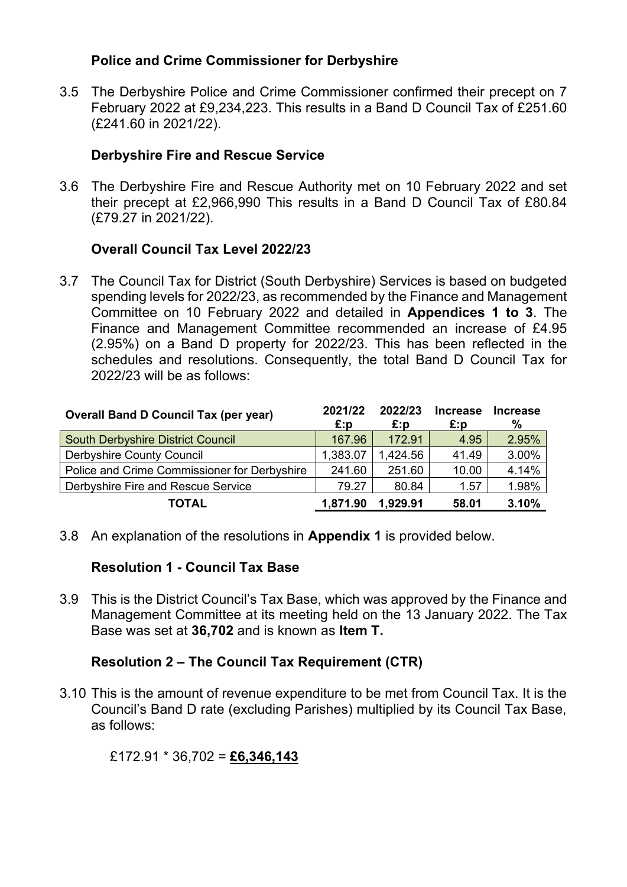#### **Police and Crime Commissioner for Derbyshire**

3.5 The Derbyshire Police and Crime Commissioner confirmed their precept on 7 February 2022 at £9,234,223. This results in a Band D Council Tax of £251.60 (£241.60 in 2021/22).

#### **Derbyshire Fire and Rescue Service**

3.6 The Derbyshire Fire and Rescue Authority met on 10 February 2022 and set their precept at £2,966,990 This results in a Band D Council Tax of £80.84 (£79.27 in 2021/22).

#### **Overall Council Tax Level 2022/23**

3.7 The Council Tax for District (South Derbyshire) Services is based on budgeted spending levels for 2022/23, as recommended by the Finance and Management Committee on 10 February 2022 and detailed in **Appendices 1 to 3**. The Finance and Management Committee recommended an increase of £4.95 (2.95%) on a Band D property for 2022/23. This has been reflected in the schedules and resolutions. Consequently, the total Band D Council Tax for 2022/23 will be as follows:

| <b>Overall Band D Council Tax (per year)</b> | 2021/22  | 2022/23  | <b>Increase</b> | <b>Increase</b> |
|----------------------------------------------|----------|----------|-----------------|-----------------|
|                                              | £:p      | £:p      | £:p             | %               |
| South Derbyshire District Council            | 167.96   | 172.91   | 4.95            | 2.95%           |
| <b>Derbyshire County Council</b>             | 1,383.07 | 1,424.56 | 41.49           | 3.00%           |
| Police and Crime Commissioner for Derbyshire | 241.60   | 251.60   | 10.00           | 4.14%           |
| Derbyshire Fire and Rescue Service           | 79.27    | 80.84    | 1.57            | 1.98%           |
| TOTAL                                        | 1,871.90 | 1.929.91 | 58.01           | 3.10%           |

3.8 An explanation of the resolutions in **Appendix 1** is provided below.

#### **Resolution 1 - Council Tax Base**

3.9 This is the District Council's Tax Base, which was approved by the Finance and Management Committee at its meeting held on the 13 January 2022. The Tax Base was set at **36,702** and is known as **Item T.**

#### **Resolution 2 – The Council Tax Requirement (CTR)**

3.10 This is the amount of revenue expenditure to be met from Council Tax. It is the Council's Band D rate (excluding Parishes) multiplied by its Council Tax Base, as follows:

#### £172.91 \* 36,702 = **£6,346,143**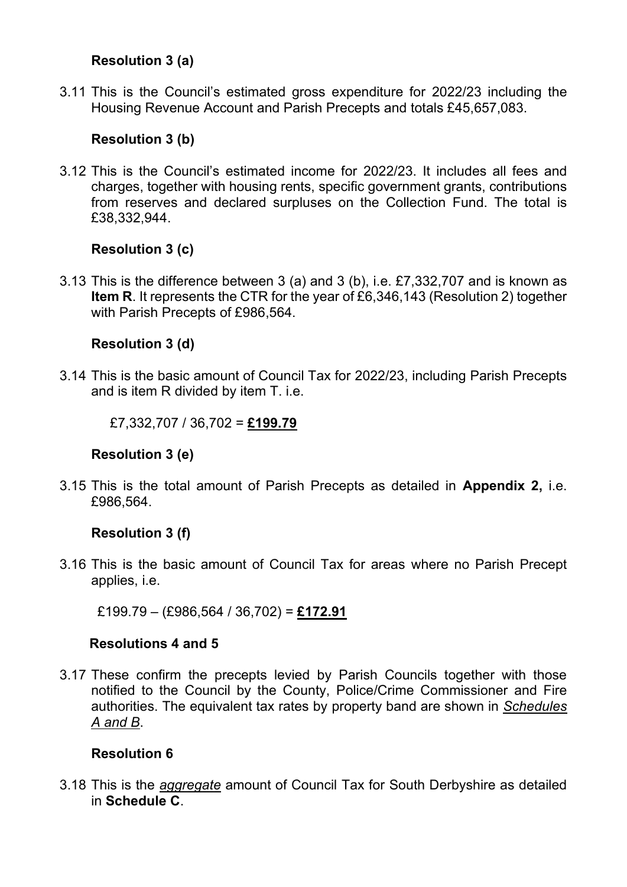#### **Resolution 3 (a)**

3.11 This is the Council's estimated gross expenditure for 2022/23 including the Housing Revenue Account and Parish Precepts and totals £45,657,083.

### **Resolution 3 (b)**

3.12 This is the Council's estimated income for 2022/23. It includes all fees and charges, together with housing rents, specific government grants, contributions from reserves and declared surpluses on the Collection Fund. The total is £38,332,944.

#### **Resolution 3 (c)**

3.13 This is the difference between 3 (a) and 3 (b), i.e. £7,332,707 and is known as **Item R**. It represents the CTR for the year of £6,346,143 (Resolution 2) together with Parish Precepts of £986,564.

### **Resolution 3 (d)**

3.14 This is the basic amount of Council Tax for 2022/23, including Parish Precepts and is item R divided by item T. i.e.

£7,332,707 / 36,702 = **£199.79**

#### **Resolution 3 (e)**

3.15 This is the total amount of Parish Precepts as detailed in **Appendix 2,** i.e. £986,564.

#### **Resolution 3 (f)**

3.16 This is the basic amount of Council Tax for areas where no Parish Precept applies, i.e.

£199.79 – (£986,564 / 36,702) = **£172.91**

#### **Resolutions 4 and 5**

3.17 These confirm the precepts levied by Parish Councils together with those notified to the Council by the County, Police/Crime Commissioner and Fire authorities. The equivalent tax rates by property band are shown in *Schedules A and B*.

## **Resolution 6**

3.18 This is the *aggregate* amount of Council Tax for South Derbyshire as detailed in **Schedule C**.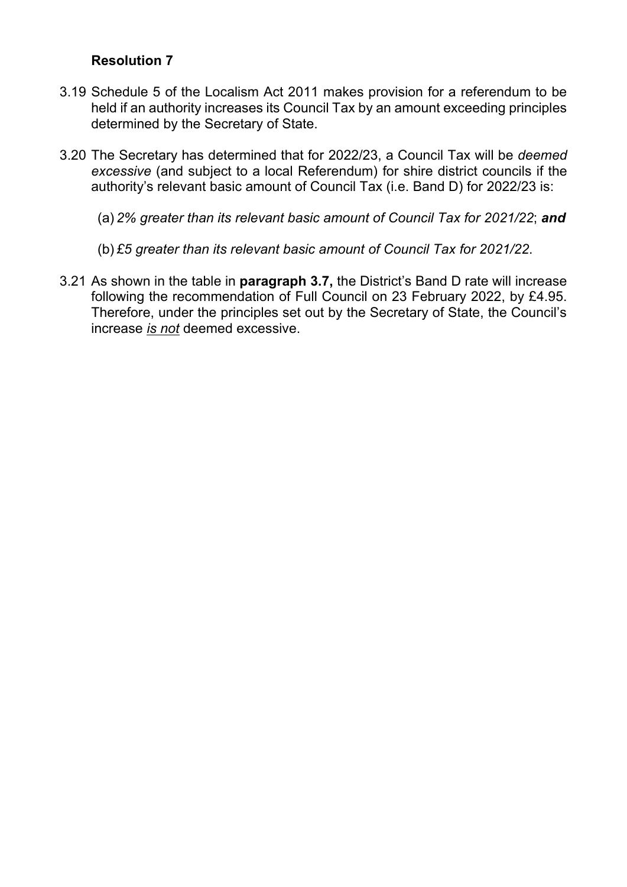#### **Resolution 7**

- 3.19 Schedule 5 of the Localism Act 2011 makes provision for a referendum to be held if an authority increases its Council Tax by an amount exceeding principles determined by the Secretary of State.
- 3.20 The Secretary has determined that for 2022/23, a Council Tax will be *deemed excessive* (and subject to a local Referendum) for shire district councils if the authority's relevant basic amount of Council Tax (i.e. Band D) for 2022/23 is:
	- (a) *2% greater than its relevant basic amount of Council Tax for 2021/22*; *and*
	- (b) *£5 greater than its relevant basic amount of Council Tax for 2021/22*.
- 3.21 As shown in the table in **paragraph 3.7,** the District's Band D rate will increase following the recommendation of Full Council on 23 February 2022, by £4.95. Therefore, under the principles set out by the Secretary of State, the Council's increase *is not* deemed excessive.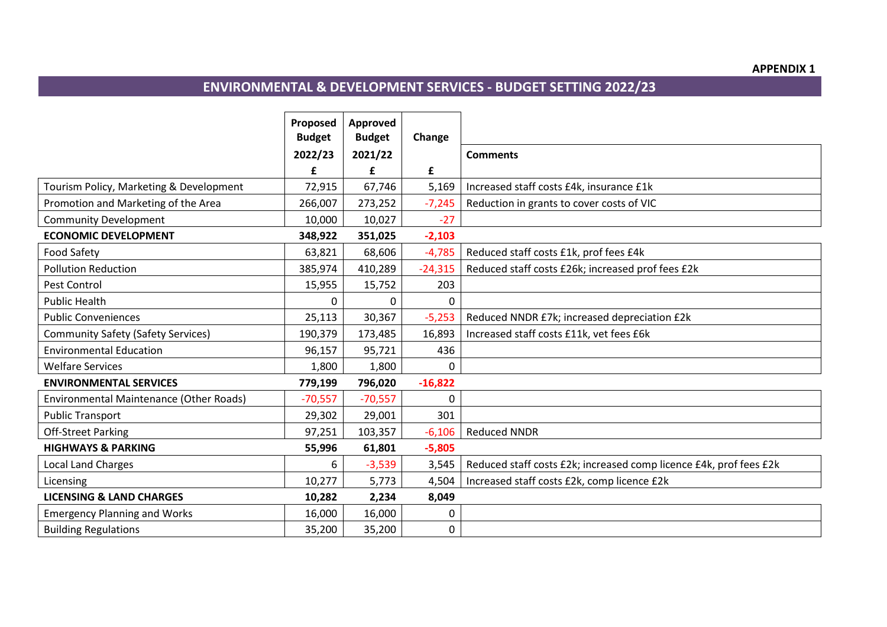#### **APPENDIX 1**

# **ENVIRONMENTAL & DEVELOPMENT SERVICES - BUDGET SETTING 2022/23**

|                                           | Proposed<br><b>Budget</b> | Approved<br><b>Budget</b> | Change    |                                                                    |
|-------------------------------------------|---------------------------|---------------------------|-----------|--------------------------------------------------------------------|
|                                           | 2022/23                   | 2021/22                   |           | <b>Comments</b>                                                    |
|                                           | £                         | £                         | £         |                                                                    |
| Tourism Policy, Marketing & Development   | 72,915                    | 67,746                    | 5,169     | Increased staff costs £4k, insurance £1k                           |
| Promotion and Marketing of the Area       | 266,007                   | 273,252                   | $-7,245$  | Reduction in grants to cover costs of VIC                          |
| <b>Community Development</b>              | 10,000                    | 10,027                    | $-27$     |                                                                    |
| <b>ECONOMIC DEVELOPMENT</b>               | 348,922                   | 351,025                   | $-2,103$  |                                                                    |
| <b>Food Safety</b>                        | 63,821                    | 68,606                    | $-4,785$  | Reduced staff costs £1k, prof fees £4k                             |
| <b>Pollution Reduction</b>                | 385,974                   | 410,289                   | $-24,315$ | Reduced staff costs £26k; increased prof fees £2k                  |
| <b>Pest Control</b>                       | 15,955                    | 15,752                    | 203       |                                                                    |
| <b>Public Health</b>                      | $\Omega$                  |                           | 0         |                                                                    |
| <b>Public Conveniences</b>                | 25,113                    | 30,367                    | $-5,253$  | Reduced NNDR £7k; increased depreciation £2k                       |
| <b>Community Safety (Safety Services)</b> | 190,379                   | 173,485                   | 16,893    | Increased staff costs £11k, vet fees £6k                           |
| <b>Environmental Education</b>            | 96,157                    | 95,721                    | 436       |                                                                    |
| <b>Welfare Services</b>                   | 1,800                     | 1,800                     | $\Omega$  |                                                                    |
| <b>ENVIRONMENTAL SERVICES</b>             | 779,199                   | 796,020                   | $-16,822$ |                                                                    |
| Environmental Maintenance (Other Roads)   | $-70,557$                 | $-70,557$                 | 0         |                                                                    |
| <b>Public Transport</b>                   | 29,302                    | 29,001                    | 301       |                                                                    |
| <b>Off-Street Parking</b>                 | 97,251                    | 103,357                   | $-6,106$  | <b>Reduced NNDR</b>                                                |
| <b>HIGHWAYS &amp; PARKING</b>             | 55,996                    | 61,801                    | $-5,805$  |                                                                    |
| <b>Local Land Charges</b>                 | 6                         | $-3,539$                  | 3,545     | Reduced staff costs £2k; increased comp licence £4k, prof fees £2k |
| Licensing                                 | 10,277                    | 5,773                     | 4,504     | Increased staff costs £2k, comp licence £2k                        |
| <b>LICENSING &amp; LAND CHARGES</b>       | 10,282                    | 2,234                     | 8,049     |                                                                    |
| <b>Emergency Planning and Works</b>       | 16,000                    | 16,000                    | 0         |                                                                    |
| <b>Building Regulations</b>               | 35,200                    | 35,200                    | 0         |                                                                    |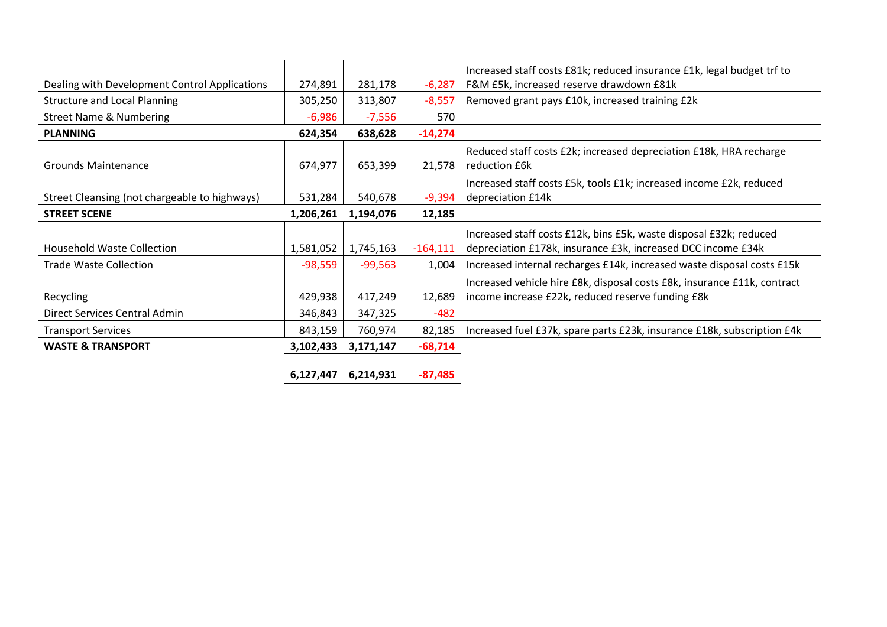|                                               |           |           |            | Increased staff costs £81k; reduced insurance £1k, legal budget trf to   |
|-----------------------------------------------|-----------|-----------|------------|--------------------------------------------------------------------------|
| Dealing with Development Control Applications | 274,891   | 281,178   | $-6,287$   | F&M £5k, increased reserve drawdown £81k                                 |
| <b>Structure and Local Planning</b>           | 305,250   | 313,807   | $-8,557$   | Removed grant pays £10k, increased training £2k                          |
| <b>Street Name &amp; Numbering</b>            | $-6,986$  | $-7,556$  | 570        |                                                                          |
| <b>PLANNING</b>                               | 624,354   | 638,628   | $-14,274$  |                                                                          |
|                                               |           |           |            | Reduced staff costs £2k; increased depreciation £18k, HRA recharge       |
| <b>Grounds Maintenance</b>                    | 674,977   | 653,399   | 21,578     | reduction £6k                                                            |
|                                               |           |           |            | Increased staff costs £5k, tools £1k; increased income £2k, reduced      |
| Street Cleansing (not chargeable to highways) | 531,284   | 540,678   | $-9,394$   | depreciation £14k                                                        |
| <b>STREET SCENE</b>                           | 1,206,261 | 1,194,076 | 12,185     |                                                                          |
|                                               |           |           |            | Increased staff costs £12k, bins £5k, waste disposal £32k; reduced       |
| <b>Household Waste Collection</b>             | 1,581,052 | 1,745,163 | $-164,111$ | depreciation £178k, insurance £3k, increased DCC income £34k             |
| <b>Trade Waste Collection</b>                 | $-98,559$ | $-99,563$ | 1,004      | Increased internal recharges £14k, increased waste disposal costs £15k   |
|                                               |           |           |            | Increased vehicle hire £8k, disposal costs £8k, insurance £11k, contract |
| Recycling                                     | 429,938   | 417,249   | 12,689     | income increase £22k, reduced reserve funding £8k                        |
| Direct Services Central Admin                 | 346,843   | 347,325   | $-482$     |                                                                          |
| <b>Transport Services</b>                     | 843,159   | 760,974   | 82,185     | Increased fuel £37k, spare parts £23k, insurance £18k, subscription £4k  |
| <b>WASTE &amp; TRANSPORT</b>                  | 3,102,433 | 3,171,147 | $-68,714$  |                                                                          |
|                                               |           |           |            |                                                                          |
|                                               | 6,127,447 | 6,214,931 | $-87,485$  |                                                                          |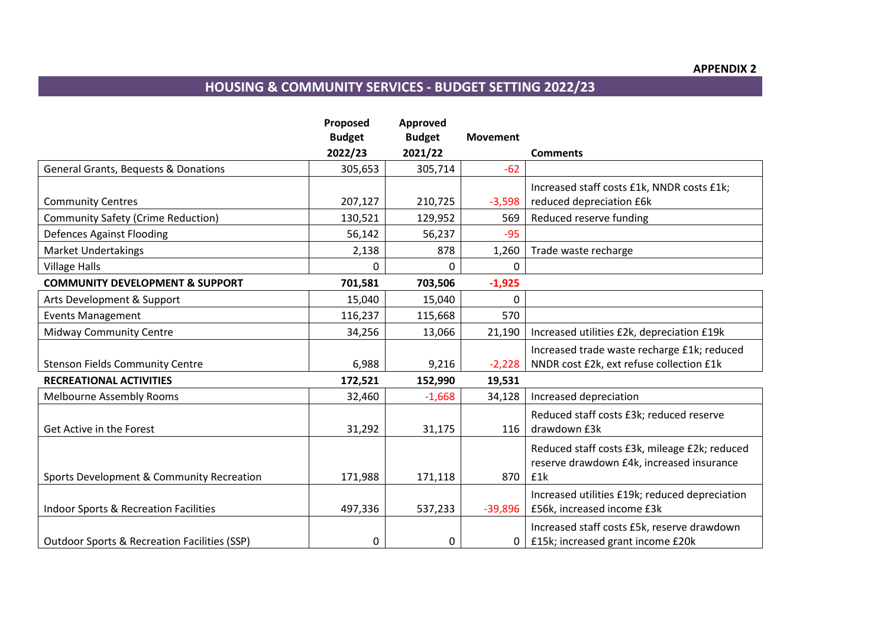# **HOUSING & COMMUNITY SERVICES - BUDGET SETTING 2022/23**

|                                                         | Proposed      | Approved      |                 |                                                |
|---------------------------------------------------------|---------------|---------------|-----------------|------------------------------------------------|
|                                                         | <b>Budget</b> | <b>Budget</b> | <b>Movement</b> |                                                |
|                                                         | 2022/23       | 2021/22       |                 | <b>Comments</b>                                |
| <b>General Grants, Bequests &amp; Donations</b>         | 305,653       | 305,714       | $-62$           |                                                |
|                                                         |               |               |                 | Increased staff costs £1k, NNDR costs £1k;     |
| <b>Community Centres</b>                                | 207,127       | 210,725       | $-3,598$        | reduced depreciation £6k                       |
| <b>Community Safety (Crime Reduction)</b>               | 130,521       | 129,952       | 569             | Reduced reserve funding                        |
| <b>Defences Against Flooding</b>                        | 56,142        | 56,237        | $-95$           |                                                |
| <b>Market Undertakings</b>                              | 2,138         | 878           | 1,260           | Trade waste recharge                           |
| <b>Village Halls</b>                                    | $\Omega$      | 0             | $\mathbf{0}$    |                                                |
| <b>COMMUNITY DEVELOPMENT &amp; SUPPORT</b>              | 701,581       | 703,506       | $-1,925$        |                                                |
| Arts Development & Support                              | 15,040        | 15,040        | 0               |                                                |
| <b>Events Management</b>                                | 116,237       | 115,668       | 570             |                                                |
| <b>Midway Community Centre</b>                          | 34,256        | 13,066        | 21,190          | Increased utilities £2k, depreciation £19k     |
|                                                         |               |               |                 | Increased trade waste recharge £1k; reduced    |
| <b>Stenson Fields Community Centre</b>                  | 6,988         | 9,216         | $-2,228$        | NNDR cost £2k, ext refuse collection £1k       |
| <b>RECREATIONAL ACTIVITIES</b>                          | 172,521       | 152,990       | 19,531          |                                                |
| <b>Melbourne Assembly Rooms</b>                         | 32,460        | $-1,668$      | 34,128          | Increased depreciation                         |
|                                                         |               |               |                 | Reduced staff costs £3k; reduced reserve       |
| Get Active in the Forest                                | 31,292        | 31,175        | 116             | drawdown £3k                                   |
|                                                         |               |               |                 | Reduced staff costs £3k, mileage £2k; reduced  |
|                                                         |               |               |                 | reserve drawdown £4k, increased insurance      |
| Sports Development & Community Recreation               | 171,988       | 171,118       | 870             | £1k                                            |
|                                                         |               |               |                 | Increased utilities £19k; reduced depreciation |
| <b>Indoor Sports &amp; Recreation Facilities</b>        | 497,336       | 537,233       | $-39,896$       | £56k, increased income £3k                     |
|                                                         |               |               |                 | Increased staff costs £5k, reserve drawdown    |
| <b>Outdoor Sports &amp; Recreation Facilities (SSP)</b> | 0             | 0             | 0               | £15k; increased grant income £20k              |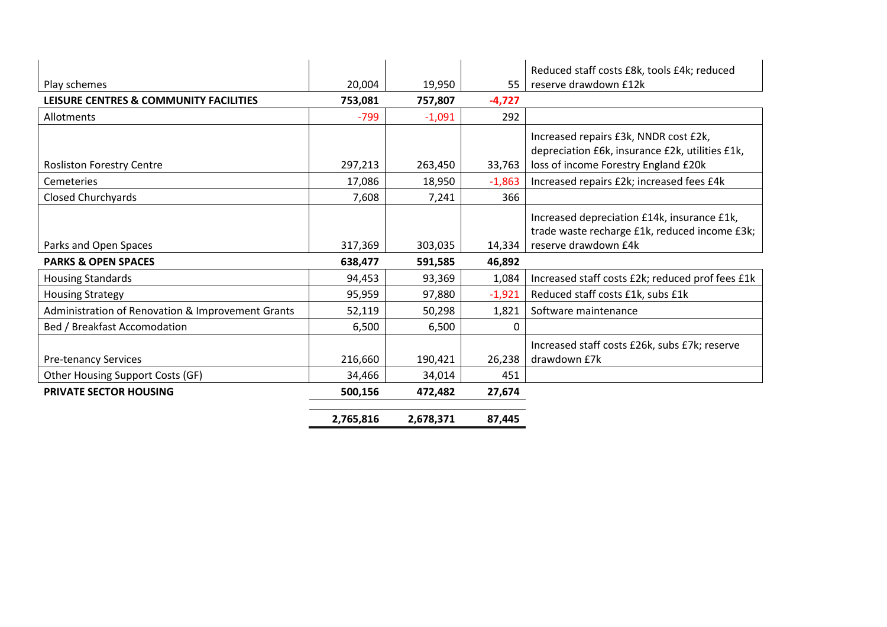|                                                   |           |           |          | Reduced staff costs £8k, tools £4k; reduced                                                  |
|---------------------------------------------------|-----------|-----------|----------|----------------------------------------------------------------------------------------------|
| Play schemes                                      | 20,004    | 19,950    | 55       | reserve drawdown £12k                                                                        |
| LEISURE CENTRES & COMMUNITY FACILITIES            | 753,081   | 757,807   | $-4,727$ |                                                                                              |
| Allotments                                        | $-799$    | $-1,091$  | 292      |                                                                                              |
|                                                   |           |           |          | Increased repairs £3k, NNDR cost £2k,<br>depreciation £6k, insurance £2k, utilities £1k,     |
| <b>Rosliston Forestry Centre</b>                  | 297,213   | 263,450   | 33,763   | loss of income Forestry England £20k                                                         |
| Cemeteries                                        | 17,086    | 18,950    | $-1,863$ | Increased repairs £2k; increased fees £4k                                                    |
| Closed Churchyards                                | 7,608     | 7,241     | 366      |                                                                                              |
|                                                   |           |           |          | Increased depreciation £14k, insurance £1k,<br>trade waste recharge £1k, reduced income £3k; |
| Parks and Open Spaces                             | 317,369   | 303,035   | 14,334   | reserve drawdown £4k                                                                         |
| <b>PARKS &amp; OPEN SPACES</b>                    | 638,477   | 591,585   | 46,892   |                                                                                              |
| <b>Housing Standards</b>                          | 94,453    | 93,369    | 1,084    | Increased staff costs £2k; reduced prof fees £1k                                             |
| <b>Housing Strategy</b>                           | 95,959    | 97,880    | $-1,921$ | Reduced staff costs £1k, subs £1k                                                            |
| Administration of Renovation & Improvement Grants | 52,119    | 50,298    | 1,821    | Software maintenance                                                                         |
| Bed / Breakfast Accomodation                      | 6,500     | 6,500     | $\Omega$ |                                                                                              |
|                                                   |           |           |          | Increased staff costs £26k, subs £7k; reserve                                                |
| <b>Pre-tenancy Services</b>                       | 216,660   | 190,421   | 26,238   | drawdown £7k                                                                                 |
| Other Housing Support Costs (GF)                  | 34,466    | 34,014    | 451      |                                                                                              |
| <b>PRIVATE SECTOR HOUSING</b>                     | 500,156   | 472,482   | 27,674   |                                                                                              |
|                                                   | 2,765,816 | 2,678,371 | 87,445   |                                                                                              |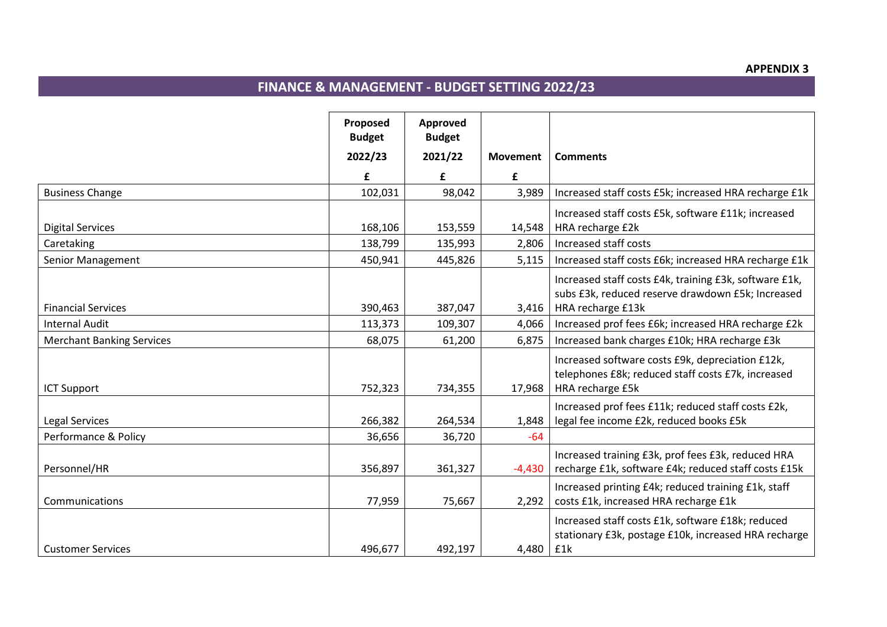#### **APPENDIX 3**

# **FINANCE & MANAGEMENT - BUDGET SETTING 2022/23**

|                                  | Proposed<br><b>Budget</b> | Approved<br><b>Budget</b> |                 |                                                                                                             |
|----------------------------------|---------------------------|---------------------------|-----------------|-------------------------------------------------------------------------------------------------------------|
|                                  | 2022/23                   | 2021/22                   | <b>Movement</b> | <b>Comments</b>                                                                                             |
|                                  | £                         | £                         | £               |                                                                                                             |
| <b>Business Change</b>           | 102,031                   | 98,042                    | 3,989           | Increased staff costs £5k; increased HRA recharge £1k                                                       |
| <b>Digital Services</b>          | 168,106                   | 153,559                   | 14,548          | Increased staff costs £5k, software £11k; increased<br>HRA recharge £2k                                     |
| Caretaking                       | 138,799                   | 135,993                   | 2,806           | Increased staff costs                                                                                       |
|                                  |                           |                           |                 |                                                                                                             |
| Senior Management                | 450,941                   | 445,826                   | 5,115           | Increased staff costs £6k; increased HRA recharge £1k                                                       |
|                                  |                           |                           |                 | Increased staff costs £4k, training £3k, software £1k,<br>subs £3k, reduced reserve drawdown £5k; Increased |
| <b>Financial Services</b>        | 390,463                   | 387,047                   | 3,416           | HRA recharge £13k                                                                                           |
| <b>Internal Audit</b>            | 113,373                   | 109,307                   | 4,066           | Increased prof fees £6k; increased HRA recharge £2k                                                         |
| <b>Merchant Banking Services</b> | 68,075                    | 61,200                    | 6,875           | Increased bank charges £10k; HRA recharge £3k                                                               |
|                                  |                           |                           |                 | Increased software costs £9k, depreciation £12k,                                                            |
|                                  |                           |                           |                 | telephones £8k; reduced staff costs £7k, increased                                                          |
| <b>ICT Support</b>               | 752,323                   | 734,355                   | 17,968          | HRA recharge £5k                                                                                            |
|                                  |                           |                           |                 | Increased prof fees £11k; reduced staff costs £2k,                                                          |
| Legal Services                   | 266,382                   | 264,534                   | 1,848           | legal fee income £2k, reduced books £5k                                                                     |
| Performance & Policy             | 36,656                    | 36,720                    | $-64$           |                                                                                                             |
|                                  |                           |                           |                 | Increased training £3k, prof fees £3k, reduced HRA                                                          |
| Personnel/HR                     | 356,897                   | 361,327                   | $-4,430$        | recharge £1k, software £4k; reduced staff costs £15k                                                        |
|                                  |                           |                           |                 | Increased printing £4k; reduced training £1k, staff                                                         |
| Communications                   | 77,959                    | 75,667                    | 2,292           | costs £1k, increased HRA recharge £1k                                                                       |
|                                  |                           |                           |                 | Increased staff costs £1k, software £18k; reduced<br>stationary £3k, postage £10k, increased HRA recharge   |
| <b>Customer Services</b>         | 496,677                   | 492,197                   | 4,480           | £1k                                                                                                         |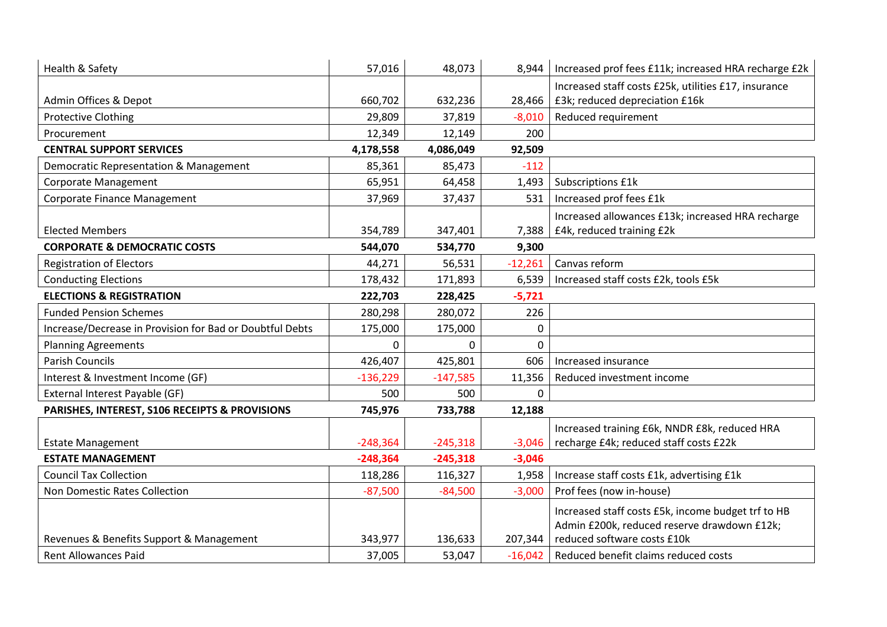| Health & Safety                                          | 57,016     | 48,073     | 8,944     | Increased prof fees £11k; increased HRA recharge £2k |
|----------------------------------------------------------|------------|------------|-----------|------------------------------------------------------|
|                                                          |            |            |           | Increased staff costs £25k, utilities £17, insurance |
| Admin Offices & Depot                                    | 660,702    | 632,236    | 28,466    | £3k; reduced depreciation £16k                       |
| <b>Protective Clothing</b>                               | 29,809     | 37,819     | $-8,010$  | Reduced requirement                                  |
| Procurement                                              | 12,349     | 12,149     | 200       |                                                      |
| <b>CENTRAL SUPPORT SERVICES</b>                          | 4,178,558  | 4,086,049  | 92,509    |                                                      |
| Democratic Representation & Management                   | 85,361     | 85,473     | $-112$    |                                                      |
| <b>Corporate Management</b>                              | 65,951     | 64,458     | 1,493     | Subscriptions £1k                                    |
| Corporate Finance Management                             | 37,969     | 37,437     | 531       | Increased prof fees £1k                              |
|                                                          |            |            |           | Increased allowances £13k; increased HRA recharge    |
| <b>Elected Members</b>                                   | 354,789    | 347,401    | 7,388     | £4k, reduced training £2k                            |
| <b>CORPORATE &amp; DEMOCRATIC COSTS</b>                  | 544,070    | 534,770    | 9,300     |                                                      |
| <b>Registration of Electors</b>                          | 44,271     | 56,531     | $-12,261$ | Canvas reform                                        |
| <b>Conducting Elections</b>                              | 178,432    | 171,893    | 6,539     | Increased staff costs £2k, tools £5k                 |
| <b>ELECTIONS &amp; REGISTRATION</b>                      | 222,703    | 228,425    | $-5,721$  |                                                      |
| <b>Funded Pension Schemes</b>                            | 280,298    | 280,072    | 226       |                                                      |
| Increase/Decrease in Provision for Bad or Doubtful Debts | 175,000    | 175,000    | 0         |                                                      |
| <b>Planning Agreements</b>                               | 0          | $\Omega$   | 0         |                                                      |
| <b>Parish Councils</b>                                   | 426,407    | 425,801    | 606       | Increased insurance                                  |
| Interest & Investment Income (GF)                        | $-136,229$ | $-147,585$ | 11,356    | Reduced investment income                            |
| External Interest Payable (GF)                           | 500        | 500        | $\Omega$  |                                                      |
| PARISHES, INTEREST, S106 RECEIPTS & PROVISIONS           | 745,976    | 733,788    | 12,188    |                                                      |
|                                                          |            |            |           | Increased training £6k, NNDR £8k, reduced HRA        |
| <b>Estate Management</b>                                 | $-248,364$ | $-245,318$ | $-3,046$  | recharge £4k; reduced staff costs £22k               |
| <b>ESTATE MANAGEMENT</b>                                 | $-248,364$ | $-245,318$ | $-3,046$  |                                                      |
| <b>Council Tax Collection</b>                            | 118,286    | 116,327    | 1,958     | Increase staff costs £1k, advertising £1k            |
| Non Domestic Rates Collection                            | $-87,500$  | $-84,500$  | $-3,000$  | Prof fees (now in-house)                             |
|                                                          |            |            |           | Increased staff costs £5k, income budget trf to HB   |
|                                                          |            |            |           | Admin £200k, reduced reserve drawdown £12k;          |
| Revenues & Benefits Support & Management                 | 343,977    | 136,633    | 207,344   | reduced software costs £10k                          |
| <b>Rent Allowances Paid</b>                              | 37,005     | 53,047     | $-16,042$ | Reduced benefit claims reduced costs                 |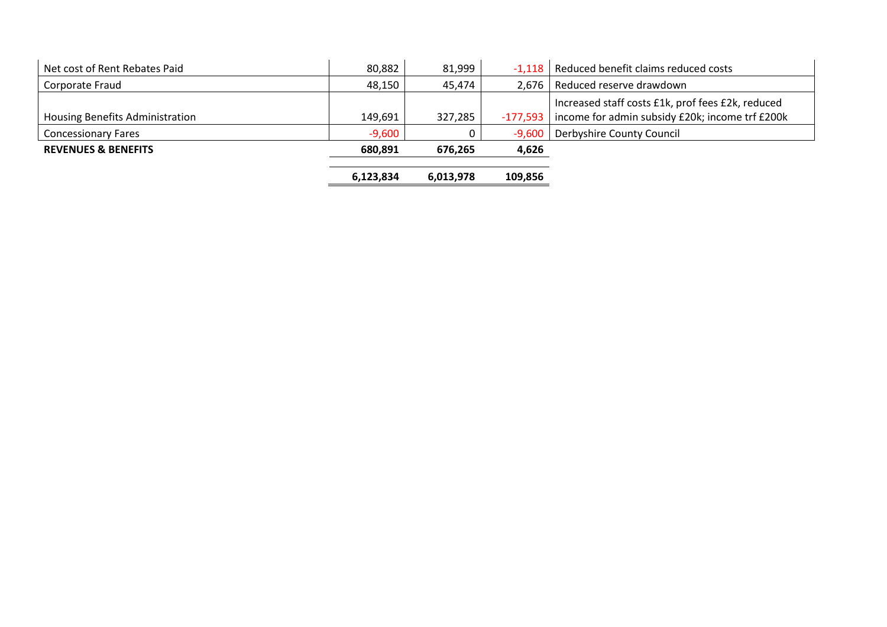| Net cost of Rent Rebates Paid   | 80,882    | 81,999    |          | -1,118   Reduced benefit claims reduced costs                                                                   |
|---------------------------------|-----------|-----------|----------|-----------------------------------------------------------------------------------------------------------------|
| Corporate Fraud                 | 48,150    | 45,474    |          | 2,676   Reduced reserve drawdown                                                                                |
| Housing Benefits Administration | 149,691   | 327,285   |          | Increased staff costs £1k, prof fees £2k, reduced<br>$-177,593$ income for admin subsidy £20k; income trf £200k |
| <b>Concessionary Fares</b>      | $-9,600$  |           | $-9,600$ | Derbyshire County Council                                                                                       |
| <b>REVENUES &amp; BENEFITS</b>  | 680.891   | 676.265   | 4,626    |                                                                                                                 |
|                                 | 6,123,834 | 6,013,978 | 109,856  |                                                                                                                 |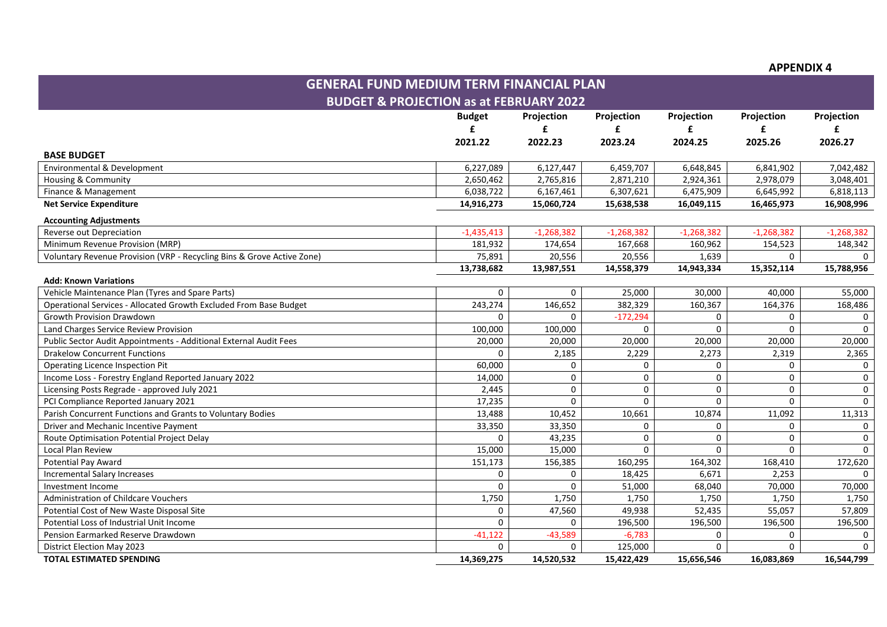**APPENDIX 4** 

| <b>GENERAL FUND MEDIUM TERM FINANCIAL PLAN</b>                         |               |              |                     |              |              |              |
|------------------------------------------------------------------------|---------------|--------------|---------------------|--------------|--------------|--------------|
| <b>BUDGET &amp; PROJECTION as at FEBRUARY 2022</b>                     |               |              |                     |              |              |              |
|                                                                        | <b>Budget</b> | Projection   | Projection          | Projection   | Projection   | Projection   |
|                                                                        | £             | £            | £                   | £            | £            | f            |
|                                                                        | 2021.22       | 2022.23      | 2023.24             | 2024.25      | 2025.26      | 2026.27      |
| <b>BASE BUDGET</b>                                                     |               |              |                     |              |              |              |
| Environmental & Development                                            | 6,227,089     | 6,127,447    | 6,459,707           | 6,648,845    | 6,841,902    | 7,042,482    |
| Housing & Community                                                    | 2,650,462     | 2,765,816    | 2,871,210           | 2,924,361    | 2,978,079    | 3,048,401    |
| Finance & Management                                                   | 6,038,722     | 6,167,461    | 6,307,621           | 6,475,909    | 6,645,992    | 6,818,113    |
| <b>Net Service Expenditure</b>                                         | 14,916,273    | 15,060,724   | 15,638,538          | 16,049,115   | 16,465,973   | 16,908,996   |
| <b>Accounting Adjustments</b>                                          |               |              |                     |              |              |              |
| Reverse out Depreciation                                               | $-1,435,413$  | $-1,268,382$ | $-1,268,382$        | $-1,268,382$ | $-1,268,382$ | $-1,268,382$ |
| Minimum Revenue Provision (MRP)                                        | 181,932       | 174,654      | 167,668             | 160,962      | 154,523      | 148,342      |
| Voluntary Revenue Provision (VRP - Recycling Bins & Grove Active Zone) | 75,891        | 20,556       | 20,556              | 1,639        | $\Omega$     |              |
|                                                                        | 13,738,682    | 13,987,551   | 14,558,379          | 14,943,334   | 15,352,114   | 15,788,956   |
| <b>Add: Known Variations</b>                                           |               |              |                     |              |              |              |
| Vehicle Maintenance Plan (Tyres and Spare Parts)                       | $\Omega$      | $\Omega$     | 25,000              | 30,000       | 40,000       | 55,000       |
| Operational Services - Allocated Growth Excluded From Base Budget      | 243,274       | 146,652      | 382,329             | 160,367      | 164,376      | 168,486      |
| <b>Growth Provision Drawdown</b>                                       | $\Omega$      | $\Omega$     | $-172,294$          | 0            | 0            | 0            |
| Land Charges Service Review Provision                                  | 100,000       | 100,000      | $\Omega$            | $\mathbf 0$  | $\Omega$     | $\Omega$     |
| Public Sector Audit Appointments - Additional External Audit Fees      | 20,000        | 20,000       | 20,000              | 20,000       | 20,000       | 20,000       |
| <b>Drakelow Concurrent Functions</b>                                   | $\Omega$      | 2,185        | 2,229               | 2,273        | 2,319        | 2,365        |
| Operating Licence Inspection Pit                                       | 60,000        | $\Omega$     | 0                   | 0            | 0            | 0            |
| Income Loss - Forestry England Reported January 2022                   | 14,000        | $\Omega$     | $\mathbf 0$         | 0            | 0            | 0            |
| Licensing Posts Regrade - approved July 2021                           | 2,445         | $\mathbf 0$  | $\mathsf{O}\xspace$ | 0            | 0            | 0            |
| PCI Compliance Reported January 2021                                   | 17,235        | $\mathbf 0$  | $\Omega$            | $\Omega$     | $\Omega$     | $\mathbf 0$  |
| Parish Concurrent Functions and Grants to Voluntary Bodies             | 13,488        | 10,452       | 10,661              | 10,874       | 11,092       | 11,313       |
| Driver and Mechanic Incentive Payment                                  | 33,350        | 33,350       | 0                   | 0            | 0            | 0            |
| Route Optimisation Potential Project Delay                             | $\Omega$      | 43,235       | $\mathbf 0$         | $\Omega$     | $\Omega$     | 0            |
| Local Plan Review                                                      | 15,000        | 15,000       | $\Omega$            | $\Omega$     | $\Omega$     | $\Omega$     |
| Potential Pay Award                                                    | 151,173       | 156,385      | 160,295             | 164,302      | 168,410      | 172,620      |
| <b>Incremental Salary Increases</b>                                    | 0             | 0            | 18,425              | 6,671        | 2,253        | $\mathbf{0}$ |
| Investment Income                                                      | $\Omega$      | $\Omega$     | 51,000              | 68,040       | 70,000       | 70,000       |
| Administration of Childcare Vouchers                                   | 1,750         | 1,750        | 1,750               | 1,750        | 1,750        | 1,750        |
| Potential Cost of New Waste Disposal Site                              | 0             | 47,560       | 49,938              | 52,435       | 55,057       | 57,809       |
| Potential Loss of Industrial Unit Income                               | $\Omega$      | $\Omega$     | 196,500             | 196,500      | 196,500      | 196,500      |
| Pension Earmarked Reserve Drawdown                                     | $-41,122$     | $-43,589$    | $-6,783$            | $\Omega$     | $\Omega$     | 0            |
| <b>District Election May 2023</b>                                      | $\Omega$      | $\Omega$     | 125,000             | $\Omega$     | $\Omega$     | $\mathbf 0$  |
| <b>TOTAL ESTIMATED SPENDING</b>                                        | 14,369,275    | 14,520,532   | 15,422,429          | 15,656,546   | 16.083.869   | 16,544,799   |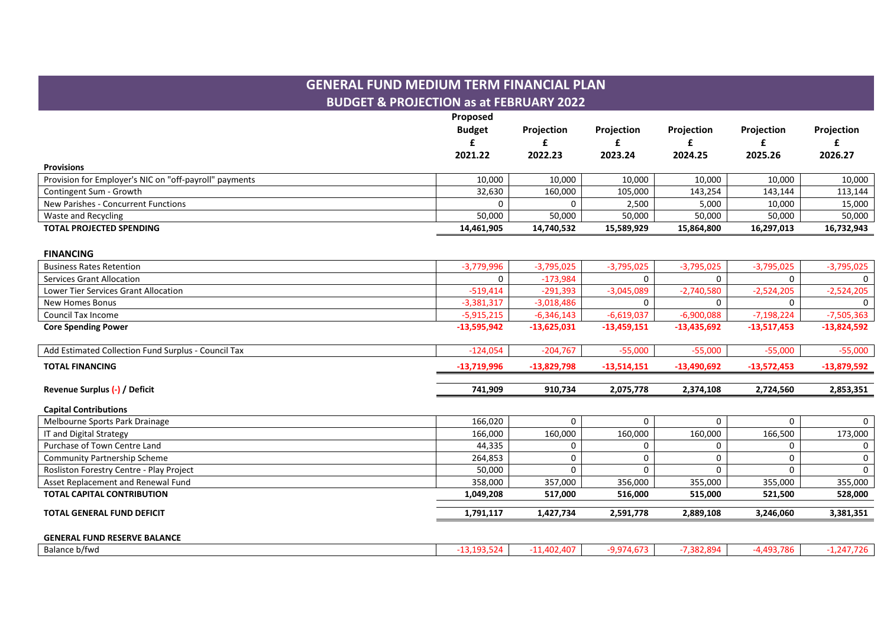|                                                        | <b>GENERAL FUND MEDIUM TERM FINANCIAL PLAN</b><br><b>BUDGET &amp; PROJECTION as at FEBRUARY 2022</b> |                      |                      |                      |                      |                      |
|--------------------------------------------------------|------------------------------------------------------------------------------------------------------|----------------------|----------------------|----------------------|----------------------|----------------------|
|                                                        | Proposed<br><b>Budget</b><br>£                                                                       | Projection<br>£      | Projection<br>£      | Projection           | Projection<br>£      | Projection           |
|                                                        | 2021.22                                                                                              | 2022.23              | 2023.24              | 2024.25              | 2025.26              | 2026.27              |
| <b>Provisions</b>                                      |                                                                                                      |                      |                      |                      |                      |                      |
| Provision for Employer's NIC on "off-payroll" payments | 10,000                                                                                               | 10,000               | 10,000               | 10,000               | 10,000               | 10,000               |
| Contingent Sum - Growth                                | 32,630                                                                                               | 160,000              | 105,000              | 143,254              | 143,144              | 113,144              |
| New Parishes - Concurrent Functions                    | 0                                                                                                    | 0                    | 2,500                | 5,000                | 10,000               | 15,000               |
| Waste and Recycling<br><b>TOTAL PROJECTED SPENDING</b> | 50,000<br>14,461,905                                                                                 | 50,000<br>14,740,532 | 50,000<br>15,589,929 | 50,000<br>15,864,800 | 50,000<br>16,297,013 | 50,000<br>16,732,943 |
|                                                        |                                                                                                      |                      |                      |                      |                      |                      |
| <b>FINANCING</b>                                       |                                                                                                      |                      |                      |                      |                      |                      |
| <b>Business Rates Retention</b>                        | $-3,779,996$                                                                                         | $-3,795,025$         | $-3,795,025$         | $-3,795,025$         | $-3,795,025$         | $-3,795,025$         |
| Services Grant Allocation                              | 0                                                                                                    | $-173,984$           | $\Omega$             | $\mathbf 0$          | $\Omega$             | $\Omega$             |
| Lower Tier Services Grant Allocation                   | $-519,414$                                                                                           | $-291.393$           | $-3,045,089$         | $-2,740,580$         | $-2,524,205$         | $-2,524,205$         |
| <b>New Homes Bonus</b>                                 | $-3,381,317$                                                                                         | $-3,018,486$         | $\Omega$             | $\Omega$             | 0                    | $\Omega$             |
| Council Tax Income                                     | $-5,915,215$                                                                                         | $-6,346,143$         | $-6,619,037$         | $-6,900,088$         | $-7,198,224$         | $-7,505,363$         |
| <b>Core Spending Power</b>                             | $-13,595,942$                                                                                        | $-13,625,031$        | $-13,459,151$        | $-13,435,692$        | $-13,517,453$        | $-13,824,592$        |
| Add Estimated Collection Fund Surplus - Council Tax    | $-124,054$                                                                                           | $-204,767$           | $-55,000$            | $-55,000$            | $-55,000$            | $-55,000$            |
| <b>TOTAL FINANCING</b>                                 | $-13,719,996$                                                                                        | $-13,829,798$        | $-13,514,151$        | $-13,490,692$        | $-13,572,453$        | $-13,879,592$        |
| Revenue Surplus (-) / Deficit                          | 741.909                                                                                              | 910.734              | 2,075,778            | 2,374,108            | 2,724,560            | 2,853,351            |
| <b>Capital Contributions</b>                           |                                                                                                      |                      |                      |                      |                      |                      |
| Melbourne Sports Park Drainage                         | 166,020                                                                                              | $\Omega$             | $\Omega$             | $\Omega$             | $\Omega$             | $\Omega$             |
| IT and Digital Strategy                                | 166,000                                                                                              | 160,000              | 160,000              | 160,000              | 166,500              | 173,000              |
| Purchase of Town Centre Land                           | 44,335                                                                                               | 0                    | 0                    | $\mathbf 0$          | 0                    | $\mathbf 0$          |
| <b>Community Partnership Scheme</b>                    | 264,853                                                                                              | 0                    | $\Omega$             | 0                    | $\Omega$             | $\mathbf 0$          |
| Rosliston Forestry Centre - Play Project               | 50,000                                                                                               | $\Omega$             | $\Omega$             | $\Omega$             | $\Omega$             | $\mathbf{0}$         |
| Asset Replacement and Renewal Fund                     | 358,000                                                                                              | 357,000              | 356,000              | 355,000              | 355,000              | 355,000              |
| <b>TOTAL CAPITAL CONTRIBUTION</b>                      | 1,049,208                                                                                            | 517,000              | 516,000              | 515,000              | 521,500              | 528,000              |
| <b>TOTAL GENERAL FUND DEFICIT</b>                      | 1,791,117                                                                                            | 1,427,734            | 2,591,778            | 2,889,108            | 3,246,060            | 3,381,351            |
| <b>GENERAL FUND RESERVE BALANCE</b>                    |                                                                                                      |                      |                      |                      |                      |                      |

| Balance b/fwd | ിറാ<br>- 77 | $-402.407$ | -9,974,6、 | 7.382.894 | $-4.493$ $-7$<br>10 C<br>. 5.78m | $\sim$ $\sim$<br>,,,<br>11 <sub>h</sub> |
|---------------|-------------|------------|-----------|-----------|----------------------------------|-----------------------------------------|
|---------------|-------------|------------|-----------|-----------|----------------------------------|-----------------------------------------|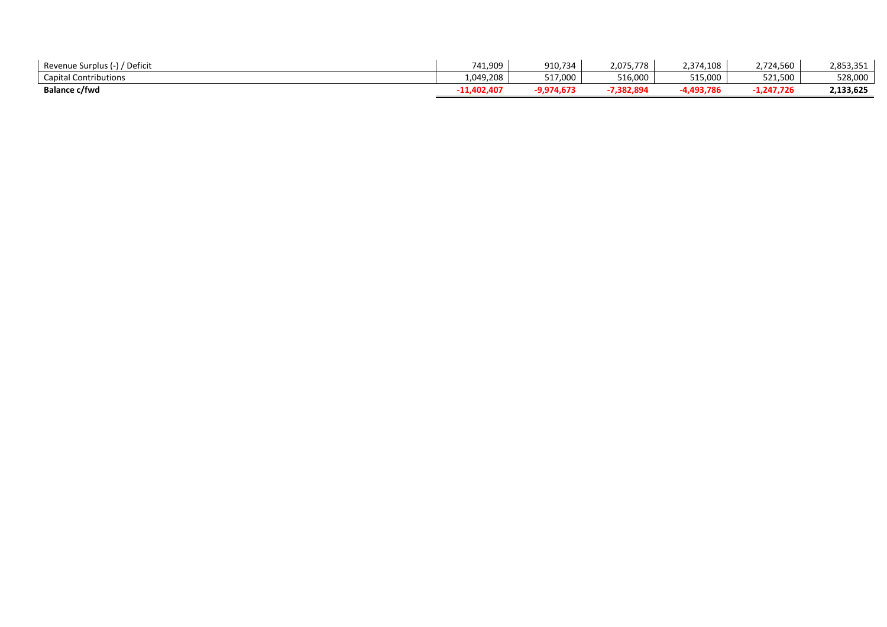| / Deficit<br>Revenue Surplus (-), | 741,909     | 910,734   | 2,075,778 | 2,374,108 | 2,724,560    | 2,853,351 |
|-----------------------------------|-------------|-----------|-----------|-----------|--------------|-----------|
| <b>Capital Contributions</b>      | 1,049,208   | 517,000   | 516,000   | 515,000   | 521,500      | 528,000   |
| <b>Balance c/fwd</b>              | -11,402,407 | 9,974,673 | 7,382,894 | 4,493,786 | $-1,247,726$ | 2,133,625 |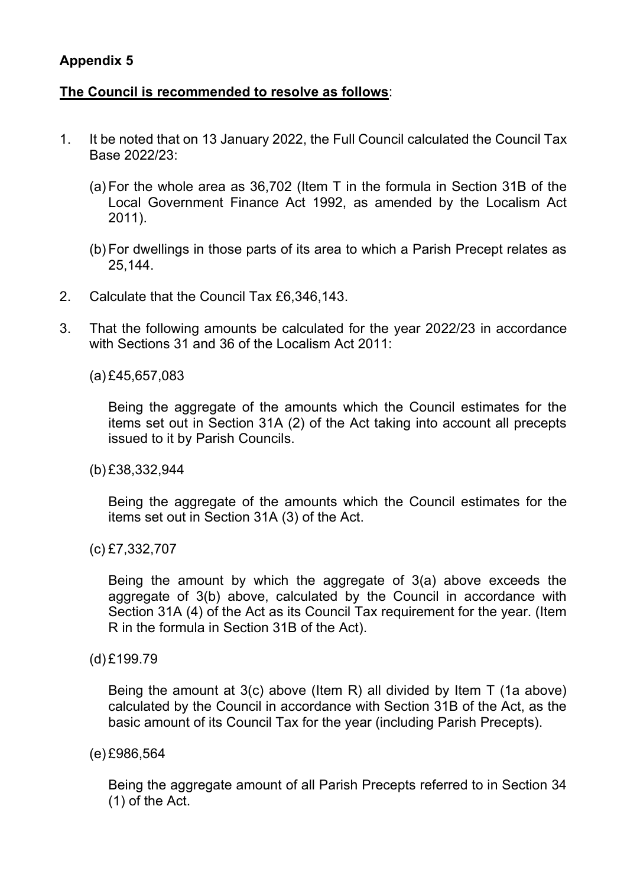#### **Appendix 5**

#### **The Council is recommended to resolve as follows**:

- 1. It be noted that on 13 January 2022, the Full Council calculated the Council Tax Base 2022/23:
	- (a) For the whole area as 36,702 (Item T in the formula in Section 31B of the Local Government Finance Act 1992, as amended by the Localism Act 2011).
	- (b) For dwellings in those parts of its area to which a Parish Precept relates as 25,144.
- 2. Calculate that the Council Tax £6,346,143.
- 3. That the following amounts be calculated for the year 2022/23 in accordance with Sections 31 and 36 of the Localism Act 2011:
	- (a) £45,657,083

Being the aggregate of the amounts which the Council estimates for the items set out in Section 31A (2) of the Act taking into account all precepts issued to it by Parish Councils.

(b) £38,332,944

Being the aggregate of the amounts which the Council estimates for the items set out in Section 31A (3) of the Act.

(c) £7,332,707

Being the amount by which the aggregate of 3(a) above exceeds the aggregate of 3(b) above, calculated by the Council in accordance with Section 31A (4) of the Act as its Council Tax requirement for the year. (Item R in the formula in Section 31B of the Act).

(d) £199.79

Being the amount at 3(c) above (Item R) all divided by Item T (1a above) calculated by the Council in accordance with Section 31B of the Act, as the basic amount of its Council Tax for the year (including Parish Precepts).

(e) £986,564

Being the aggregate amount of all Parish Precepts referred to in Section 34 (1) of the Act.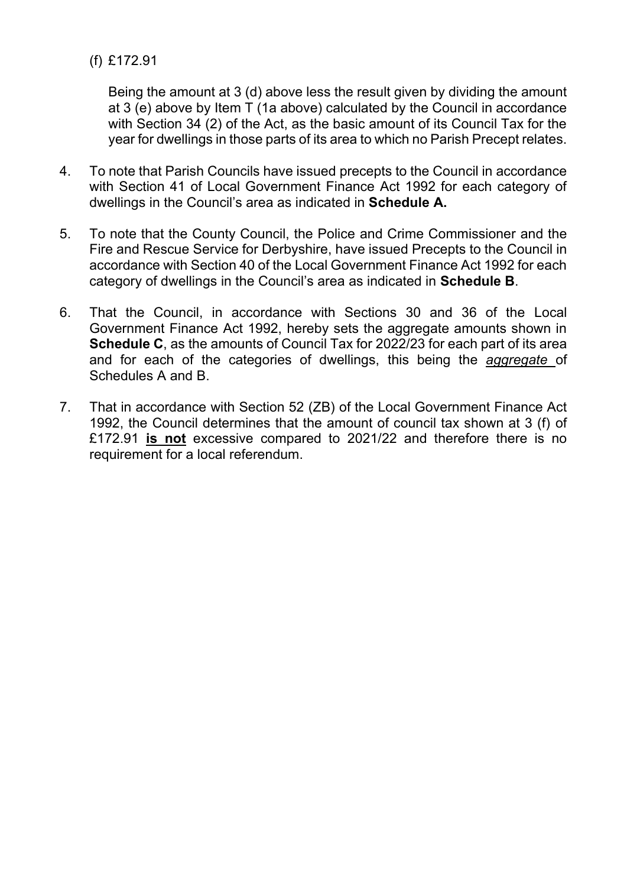(f) £172.91

Being the amount at 3 (d) above less the result given by dividing the amount at 3 (e) above by Item T (1a above) calculated by the Council in accordance with Section 34 (2) of the Act, as the basic amount of its Council Tax for the year for dwellings in those parts of its area to which no Parish Precept relates.

- 4. To note that Parish Councils have issued precepts to the Council in accordance with Section 41 of Local Government Finance Act 1992 for each category of dwellings in the Council's area as indicated in **Schedule A.**
- 5. To note that the County Council, the Police and Crime Commissioner and the Fire and Rescue Service for Derbyshire, have issued Precepts to the Council in accordance with Section 40 of the Local Government Finance Act 1992 for each category of dwellings in the Council's area as indicated in **Schedule B**.
- 6. That the Council, in accordance with Sections 30 and 36 of the Local Government Finance Act 1992, hereby sets the aggregate amounts shown in **Schedule C**, as the amounts of Council Tax for 2022/23 for each part of its area and for each of the categories of dwellings, this being the *aggregate* of Schedules A and B.
- 7. That in accordance with Section 52 (ZB) of the Local Government Finance Act 1992, the Council determines that the amount of council tax shown at 3 (f) of £172.91 **is not** excessive compared to 2021/22 and therefore there is no requirement for a local referendum.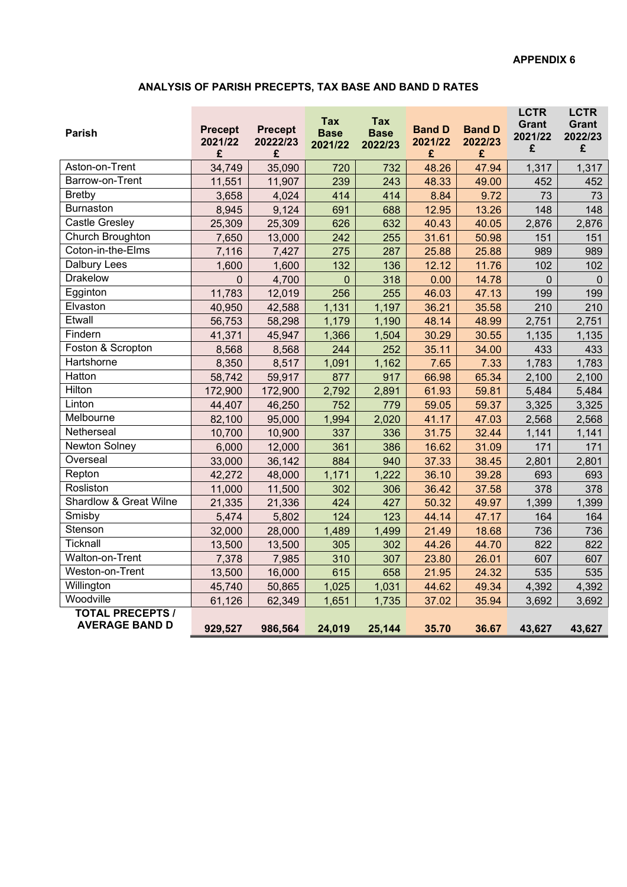#### **ANALYSIS OF PARISH PRECEPTS, TAX BASE AND BAND D RATES**

| <b>Parish</b>                                    | <b>Precept</b><br>2021/22<br>£ | <b>Precept</b><br>20222/23<br>£ | Tax<br><b>Base</b><br>2021/22 | Tax<br><b>Base</b><br>2022/23 | <b>Band D</b><br>2021/22<br>£ | <b>Band D</b><br>2022/23<br>£ | <b>LCTR</b><br><b>Grant</b><br>2021/22<br>£ | <b>LCTR</b><br><b>Grant</b><br>2022/23<br>£ |
|--------------------------------------------------|--------------------------------|---------------------------------|-------------------------------|-------------------------------|-------------------------------|-------------------------------|---------------------------------------------|---------------------------------------------|
| Aston-on-Trent                                   | 34,749                         | 35,090                          | 720                           | 732                           | 48.26                         | 47.94                         | 1,317                                       | 1,317                                       |
| Barrow-on-Trent                                  | 11,551                         | 11,907                          | 239                           | 243                           | 48.33                         | 49.00                         | 452                                         | 452                                         |
| <b>Bretby</b>                                    | 3,658                          | 4,024                           | 414                           | 414                           | 8.84                          | 9.72                          | 73                                          | 73                                          |
| <b>Burnaston</b>                                 | 8,945                          | 9,124                           | 691                           | 688                           | 12.95                         | 13.26                         | 148                                         | 148                                         |
| <b>Castle Gresley</b>                            | 25,309                         | 25,309                          | 626                           | 632                           | 40.43                         | 40.05                         | 2,876                                       | 2,876                                       |
| Church Broughton                                 | 7,650                          | 13,000                          | 242                           | 255                           | 31.61                         | 50.98                         | 151                                         | 151                                         |
| Coton-in-the-Elms                                | 7,116                          | 7,427                           | 275                           | 287                           | 25.88                         | 25.88                         | 989                                         | 989                                         |
| Dalbury Lees                                     | 1,600                          | 1,600                           | 132                           | 136                           | 12.12                         | 11.76                         | 102                                         | 102                                         |
| <b>Drakelow</b>                                  | $\overline{0}$                 | 4,700                           | $\mathbf 0$                   | 318                           | 0.00                          | 14.78                         | $\Omega$                                    | $\mathbf 0$                                 |
| Egginton                                         | 11,783                         | 12,019                          | 256                           | 255                           | 46.03                         | 47.13                         | 199                                         | 199                                         |
| Elvaston                                         | 40,950                         | 42,588                          | 1,131                         | 1,197                         | 36.21                         | 35.58                         | 210                                         | 210                                         |
| Etwall                                           | 56,753                         | 58,298                          | 1,179                         | 1,190                         | 48.14                         | 48.99                         | 2,751                                       | 2,751                                       |
| Findern                                          | 41,371                         | 45,947                          | 1,366                         | 1,504                         | 30.29                         | 30.55                         | 1,135                                       | 1,135                                       |
| Foston & Scropton                                | 8,568                          | 8,568                           | 244                           | 252                           | 35.11                         | 34.00                         | 433                                         | 433                                         |
| Hartshorne                                       | 8,350                          | 8,517                           | 1,091                         | 1,162                         | 7.65                          | 7.33                          | 1,783                                       | 1,783                                       |
| Hatton                                           | 58,742                         | 59,917                          | 877                           | 917                           | 66.98                         | 65.34                         | 2,100                                       | 2,100                                       |
| Hilton                                           | 172,900                        | 172,900                         | 2,792                         | 2,891                         | 61.93                         | 59.81                         | 5,484                                       | 5,484                                       |
| Linton                                           | 44,407                         | 46,250                          | 752                           | 779                           | 59.05                         | 59.37                         | 3,325                                       | 3,325                                       |
| Melbourne                                        | 82,100                         | 95,000                          | 1,994                         | 2,020                         | 41.17                         | 47.03                         | 2,568                                       | 2,568                                       |
| Netherseal                                       | 10,700                         | 10,900                          | 337                           | 336                           | 31.75                         | 32.44                         | 1,141                                       | 1,141                                       |
| Newton Solney                                    | 6,000                          | 12,000                          | 361                           | 386                           | 16.62                         | 31.09                         | 171                                         | 171                                         |
| Overseal                                         | 33,000                         | 36,142                          | 884                           | 940                           | 37.33                         | 38.45                         | 2,801                                       | 2,801                                       |
| Repton                                           | 42,272                         | 48,000                          | 1,171                         | 1,222                         | 36.10                         | 39.28                         | 693                                         | 693                                         |
| Rosliston                                        | 11,000                         | 11,500                          | 302                           | 306                           | 36.42                         | 37.58                         | 378                                         | 378                                         |
| <b>Shardlow &amp; Great Wilne</b>                | 21,335                         | 21,336                          | 424                           | 427                           | 50.32                         | 49.97                         | 1,399                                       | 1,399                                       |
| Smisby                                           | 5,474                          | 5,802                           | 124                           | 123                           | 44.14                         | 47.17                         | 164                                         | 164                                         |
| Stenson                                          | 32,000                         | 28,000                          | 1,489                         | 1,499                         | 21.49                         | 18.68                         | 736                                         | 736                                         |
| Ticknall                                         | 13,500                         | 13,500                          | 305                           | 302                           | 44.26                         | 44.70                         | 822                                         | 822                                         |
| Walton-on-Trent                                  | 7,378                          | 7,985                           | 310                           | 307                           | 23.80                         | 26.01                         | 607                                         | 607                                         |
| Weston-on-Trent                                  | 13,500                         | 16,000                          | 615                           | 658                           | 21.95                         | 24.32                         | 535                                         | 535                                         |
| Willington                                       | 45,740                         | 50,865                          | 1,025                         | 1,031                         | 44.62                         | 49.34                         | 4,392                                       | 4,392                                       |
| Woodville                                        | 61,126                         | 62,349                          | 1,651                         | 1,735                         | 37.02                         | 35.94                         | 3,692                                       | 3,692                                       |
| <b>TOTAL PRECEPTS /</b><br><b>AVERAGE BAND D</b> | 929,527                        | 986,564                         | 24,019                        | 25,144                        | 35.70                         | 36.67                         | 43,627                                      | 43,627                                      |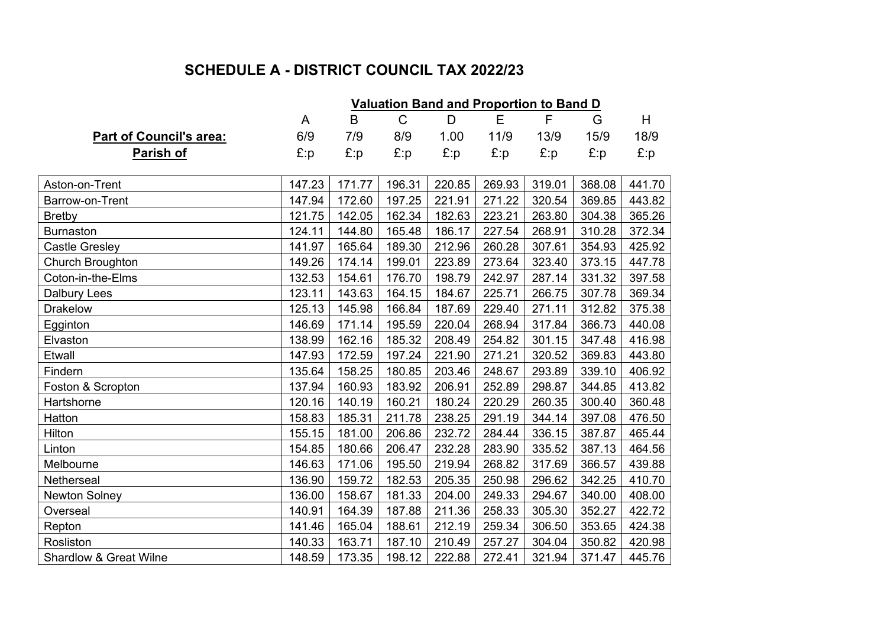# **SCHEDULE A - DISTRICT COUNCIL TAX 2022/23**

|                                   | <b>Valuation Band and Proportion to Band D</b> |        |        |        |        |        |        |        |  |  |
|-----------------------------------|------------------------------------------------|--------|--------|--------|--------|--------|--------|--------|--|--|
|                                   | A                                              | B      | C      | D      | Е      | F      | G      | H      |  |  |
| <b>Part of Council's area:</b>    | 6/9                                            | 7/9    | 8/9    | 1.00   | 11/9   | 13/9   | 15/9   | 18/9   |  |  |
| <u>Parish of</u>                  | $E$ :p                                         | E:p    | E:p    | £:p    | E:p    | £:p    | £:p    | £:p    |  |  |
|                                   |                                                |        |        |        |        |        |        |        |  |  |
| Aston-on-Trent                    | 147.23                                         | 171.77 | 196.31 | 220.85 | 269.93 | 319.01 | 368.08 | 441.70 |  |  |
| Barrow-on-Trent                   | 147.94                                         | 172.60 | 197.25 | 221.91 | 271.22 | 320.54 | 369.85 | 443.82 |  |  |
| <b>Bretby</b>                     | 121.75                                         | 142.05 | 162.34 | 182.63 | 223.21 | 263.80 | 304.38 | 365.26 |  |  |
| <b>Burnaston</b>                  | 124.11                                         | 144.80 | 165.48 | 186.17 | 227.54 | 268.91 | 310.28 | 372.34 |  |  |
| <b>Castle Gresley</b>             | 141.97                                         | 165.64 | 189.30 | 212.96 | 260.28 | 307.61 | 354.93 | 425.92 |  |  |
| Church Broughton                  | 149.26                                         | 174.14 | 199.01 | 223.89 | 273.64 | 323.40 | 373.15 | 447.78 |  |  |
| Coton-in-the-Elms                 | 132.53                                         | 154.61 | 176.70 | 198.79 | 242.97 | 287.14 | 331.32 | 397.58 |  |  |
| <b>Dalbury Lees</b>               | 123.11                                         | 143.63 | 164.15 | 184.67 | 225.71 | 266.75 | 307.78 | 369.34 |  |  |
| <b>Drakelow</b>                   | 125.13                                         | 145.98 | 166.84 | 187.69 | 229.40 | 271.11 | 312.82 | 375.38 |  |  |
| Egginton                          | 146.69                                         | 171.14 | 195.59 | 220.04 | 268.94 | 317.84 | 366.73 | 440.08 |  |  |
| Elvaston                          | 138.99                                         | 162.16 | 185.32 | 208.49 | 254.82 | 301.15 | 347.48 | 416.98 |  |  |
| Etwall                            | 147.93                                         | 172.59 | 197.24 | 221.90 | 271.21 | 320.52 | 369.83 | 443.80 |  |  |
| Findern                           | 135.64                                         | 158.25 | 180.85 | 203.46 | 248.67 | 293.89 | 339.10 | 406.92 |  |  |
| Foston & Scropton                 | 137.94                                         | 160.93 | 183.92 | 206.91 | 252.89 | 298.87 | 344.85 | 413.82 |  |  |
| Hartshorne                        | 120.16                                         | 140.19 | 160.21 | 180.24 | 220.29 | 260.35 | 300.40 | 360.48 |  |  |
| Hatton                            | 158.83                                         | 185.31 | 211.78 | 238.25 | 291.19 | 344.14 | 397.08 | 476.50 |  |  |
| Hilton                            | 155.15                                         | 181.00 | 206.86 | 232.72 | 284.44 | 336.15 | 387.87 | 465.44 |  |  |
| Linton                            | 154.85                                         | 180.66 | 206.47 | 232.28 | 283.90 | 335.52 | 387.13 | 464.56 |  |  |
| Melbourne                         | 146.63                                         | 171.06 | 195.50 | 219.94 | 268.82 | 317.69 | 366.57 | 439.88 |  |  |
| Netherseal                        | 136.90                                         | 159.72 | 182.53 | 205.35 | 250.98 | 296.62 | 342.25 | 410.70 |  |  |
| <b>Newton Solney</b>              | 136.00                                         | 158.67 | 181.33 | 204.00 | 249.33 | 294.67 | 340.00 | 408.00 |  |  |
| Overseal                          | 140.91                                         | 164.39 | 187.88 | 211.36 | 258.33 | 305.30 | 352.27 | 422.72 |  |  |
| Repton                            | 141.46                                         | 165.04 | 188.61 | 212.19 | 259.34 | 306.50 | 353.65 | 424.38 |  |  |
| Rosliston                         | 140.33                                         | 163.71 | 187.10 | 210.49 | 257.27 | 304.04 | 350.82 | 420.98 |  |  |
| <b>Shardlow &amp; Great Wilne</b> | 148.59                                         | 173.35 | 198.12 | 222.88 | 272.41 | 321.94 | 371.47 | 445.76 |  |  |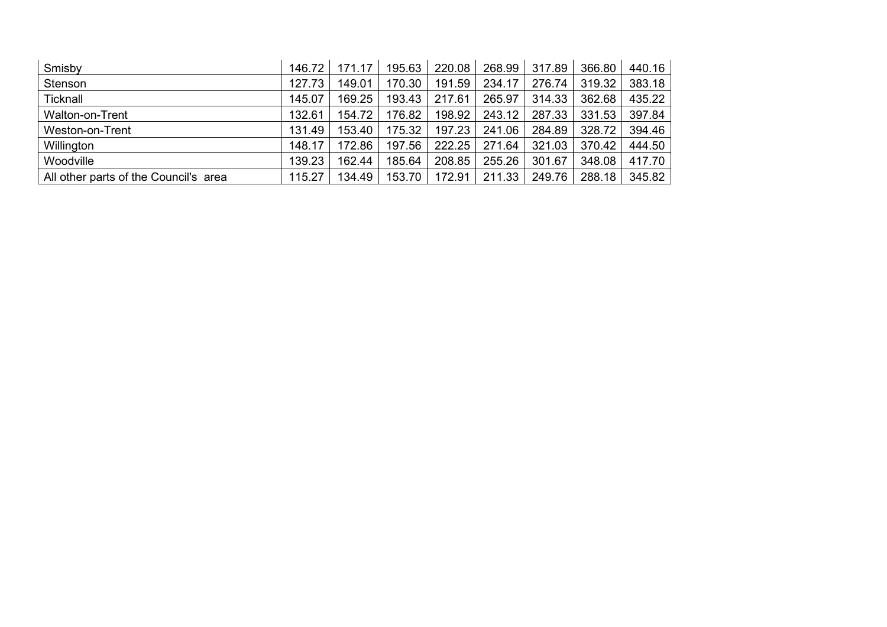| Smisby                                | 146.72 | 171.17 | 195.63 | 220.08 | 268.99 | 317.89 | 366.80 | 440.16 |
|---------------------------------------|--------|--------|--------|--------|--------|--------|--------|--------|
| Stenson                               | 127.73 | 149.01 | 170.30 | 191.59 | 234.17 | 276.74 | 319.32 | 383.18 |
| Ticknall                              | 145.07 | 169.25 | 193.43 | 217.61 | 265.97 | 314.33 | 362.68 | 435.22 |
| Walton-on-Trent                       | 132.61 | 154.72 | 176.82 | 198.92 | 243.12 | 287.33 | 331.53 | 397.84 |
| Weston-on-Trent                       | 131.49 | 153.40 | 175.32 | 197.23 | 241.06 | 284.89 | 328.72 | 394.46 |
| Willington                            | 148.17 | 172.86 | 197.56 | 222.25 | 271.64 | 321.03 | 370.42 | 444.50 |
| Woodville                             | 139.23 | 162.44 | 185.64 | 208.85 | 255.26 | 301.67 | 348.08 | 417.70 |
| All other parts of the Council's area | 115.27 | 134.49 | 153.70 | 172.91 | 211.33 | 249.76 | 288.18 | 345.82 |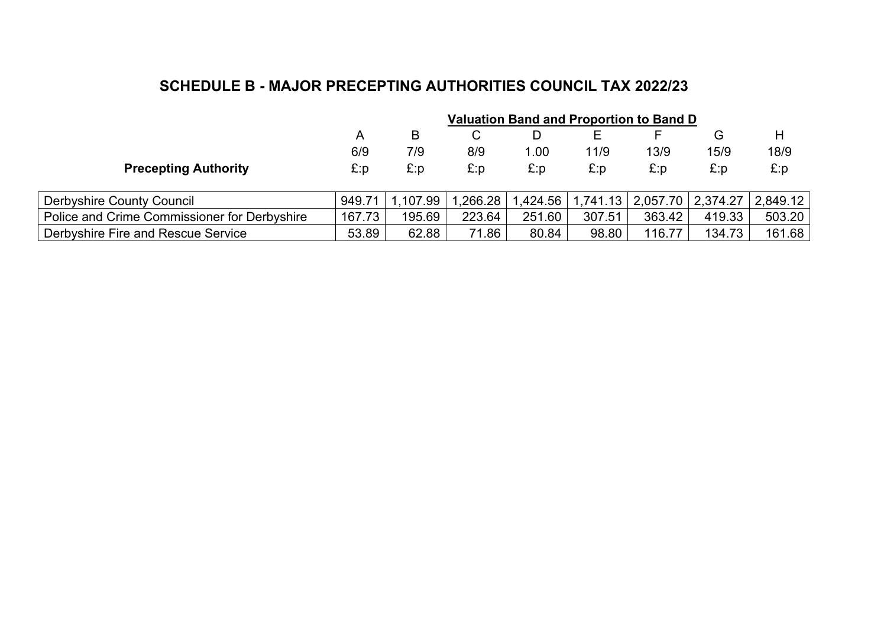## **SCHEDULE B - MAJOR PRECEPTING AUTHORITIES COUNCIL TAX 2022/23**

|                                              | <b>Valuation Band and Proportion to Band D</b> |          |          |         |        |                                |        |          |  |
|----------------------------------------------|------------------------------------------------|----------|----------|---------|--------|--------------------------------|--------|----------|--|
|                                              | A                                              | B        | C        | D       |        |                                | G      | H        |  |
|                                              | 6/9                                            | 7/9      | 8/9      | 1.00    | 11/9   | 13/9                           | 15/9   | 18/9     |  |
| <b>Precepting Authority</b>                  | £:p                                            | E:p      | £:p      | E:p     | £:p    | E:p                            | E:p    | E:p      |  |
| <b>Derbyshire County Council</b>             | 949.71                                         | 1.107.99 | 1.266.28 | .424.56 |        | 1,741.13   2,057.70   2,374.27 |        | 2.849.12 |  |
| Police and Crime Commissioner for Derbyshire | 167.73                                         | 195.69   | 223.64   | 251.60  | 307.51 | 363.42                         | 419.33 | 503.20   |  |
| Derbyshire Fire and Rescue Service           | 53.89                                          | 62.88    | 71.86    | 80.84   | 98.80  | 116.77                         | 134.73 | 161.68   |  |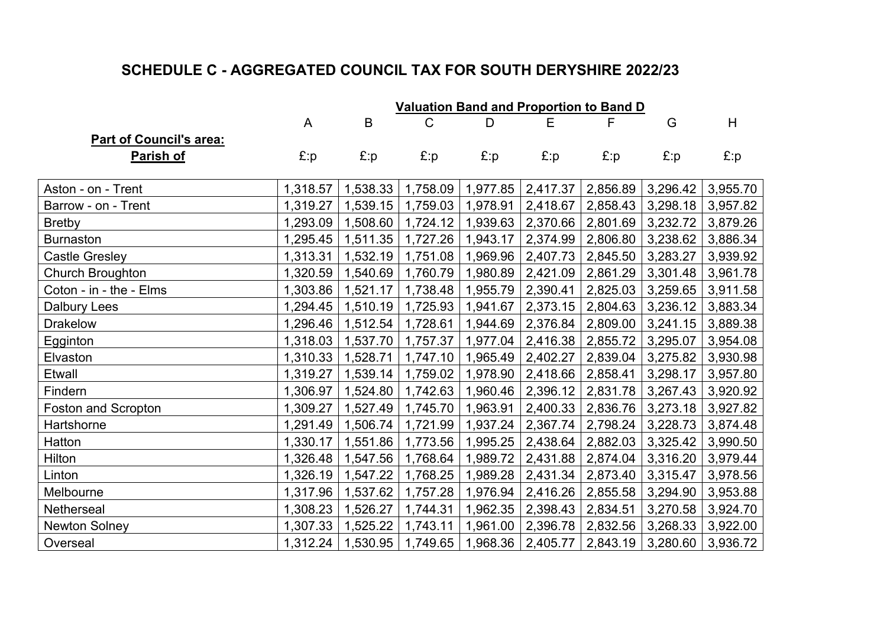# **SCHEDULE C - AGGREGATED COUNCIL TAX FOR SOUTH DERYSHIRE 2022/23**

|                                | <b>Valuation Band and Proportion to Band D</b> |          |          |                     |                        |                     |          |          |  |
|--------------------------------|------------------------------------------------|----------|----------|---------------------|------------------------|---------------------|----------|----------|--|
|                                | A                                              | B        | C        | D                   | E                      | F                   | G        | H        |  |
| <b>Part of Council's area:</b> |                                                |          |          |                     |                        |                     |          |          |  |
| <u>Parish of</u>               | $E$ :p                                         | E:p      | E:p      | E:p                 | E:p                    | E:p                 | E:p      | E:p      |  |
|                                |                                                |          |          |                     |                        |                     |          |          |  |
| Aston - on - Trent             | 1,318.57                                       | 1,538.33 | 1,758.09 | 1,977.85            | 2,417.37               | 2,856.89            | 3,296.42 | 3,955.70 |  |
| Barrow - on - Trent            | 1,319.27                                       | 1,539.15 | 1,759.03 | 1,978.91            | 2,418.67               | 2,858.43            | 3,298.18 | 3,957.82 |  |
| <b>Bretby</b>                  | 1,293.09                                       | 1,508.60 | 1,724.12 | 1,939.63            | 2,370.66               | 2,801.69            | 3,232.72 | 3,879.26 |  |
| <b>Burnaston</b>               | 1,295.45                                       | 1,511.35 | 1,727.26 | 1,943.17            | 2,374.99 2,806.80      |                     | 3,238.62 | 3,886.34 |  |
| <b>Castle Gresley</b>          | 1,313.31                                       | 1,532.19 | 1,751.08 | 1,969.96            | 2,407.73               | 2,845.50            | 3,283.27 | 3,939.92 |  |
| Church Broughton               | 1,320.59                                       | 1,540.69 | 1,760.79 | 1,980.89            | 2,421.09               | 2,861.29            | 3,301.48 | 3,961.78 |  |
| Coton - in - the - Elms        | 1,303.86                                       | 1,521.17 | 1,738.48 | 1,955.79            | 2,390.41               | 2,825.03            | 3,259.65 | 3,911.58 |  |
| <b>Dalbury Lees</b>            | 1,294.45                                       | 1,510.19 | 1,725.93 | 1,941.67            | 2,373.15               | 2,804.63            | 3,236.12 | 3,883.34 |  |
| <b>Drakelow</b>                | 1,296.46                                       | 1,512.54 | 1,728.61 | 1,944.69            | 2,376.84               | 2,809.00            | 3,241.15 | 3,889.38 |  |
| Egginton                       | 1,318.03                                       | 1,537.70 | 1,757.37 | 1,977.04            | 2,416.38               | 2,855.72            | 3,295.07 | 3,954.08 |  |
| Elvaston                       | 1,310.33                                       | 1,528.71 | 1,747.10 | 1,965.49            | 2,402.27               | 2,839.04            | 3,275.82 | 3,930.98 |  |
| Etwall                         | 1,319.27                                       | 1,539.14 | 1,759.02 | 1,978.90            | $2,418.66$ $ 2,858.41$ |                     | 3,298.17 | 3,957.80 |  |
| Findern                        | 1,306.97                                       | 1,524.80 | 1,742.63 | 1,960.46            | 2,396.12               | 2,831.78            | 3,267.43 | 3,920.92 |  |
| Foston and Scropton            | 1,309.27                                       | 1,527.49 | 1,745.70 | 1,963.91            | 2,400.33               | 2,836.76            | 3,273.18 | 3,927.82 |  |
| Hartshorne                     | 1,291.49                                       | 1,506.74 | 1,721.99 | 1,937.24            | 2,367.74               | 2,798.24            | 3,228.73 | 3,874.48 |  |
| Hatton                         | 1,330.17                                       | 1,551.86 | 1,773.56 | 1,995.25            | 2,438.64               | 2,882.03            | 3,325.42 | 3,990.50 |  |
| Hilton                         | 1,326.48                                       | 1,547.56 | 1,768.64 | 1,989.72            | 2,431.88 2,874.04      |                     | 3,316.20 | 3,979.44 |  |
| Linton                         | 1,326.19                                       | 1,547.22 | 1,768.25 | 1,989.28            | 2,431.34               | 2,873.40            | 3,315.47 | 3,978.56 |  |
| Melbourne                      | 1,317.96                                       | 1,537.62 | 1,757.28 | 1,976.94            |                        | 2,416.26   2,855.58 | 3,294.90 | 3,953.88 |  |
| Netherseal                     | 1,308.23                                       | 1,526.27 | 1,744.31 | 1,962.35            | 2,398.43               | 2,834.51            | 3,270.58 | 3,924.70 |  |
| <b>Newton Solney</b>           | 1,307.33                                       | 1,525.22 | 1,743.11 | 1,961.00            | 2,396.78               | 2,832.56            | 3,268.33 | 3,922.00 |  |
| Overseal                       | 1,312.24                                       | 1,530.95 |          | 1,749.65   1,968.36 | 2,405.77               | 2,843.19            | 3,280.60 | 3,936.72 |  |